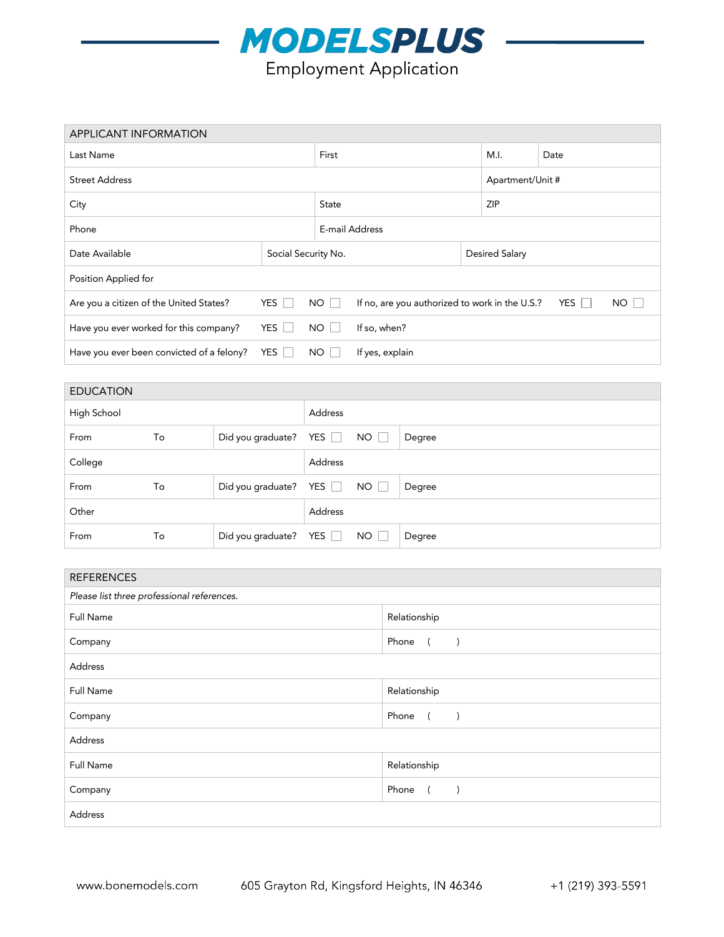

| <b>APPLICANT INFORMATION</b>              |                     |          |                                                                    |  |                       |            |  |  |
|-------------------------------------------|---------------------|----------|--------------------------------------------------------------------|--|-----------------------|------------|--|--|
| Last Name                                 |                     |          | First                                                              |  |                       | Date       |  |  |
| <b>Street Address</b>                     |                     |          |                                                                    |  | Apartment/Unit #      |            |  |  |
| City                                      |                     |          | <b>State</b>                                                       |  |                       | <b>ZIP</b> |  |  |
| Phone                                     |                     |          | E-mail Address                                                     |  |                       |            |  |  |
| Date Available                            | Social Security No. |          |                                                                    |  | <b>Desired Salary</b> |            |  |  |
| Position Applied for                      |                     |          |                                                                    |  |                       |            |  |  |
| Are you a citizen of the United States?   | YES $\Box$          | $NO$ $ $ | YES $\Box$<br>NO<br>If no, are you authorized to work in the U.S.? |  |                       |            |  |  |
| Have you ever worked for this company?    | YES                 | NO       | If so, when?                                                       |  |                       |            |  |  |
| Have you ever been convicted of a felony? | YES                 | NO.      | If yes, explain                                                    |  |                       |            |  |  |

| <b>EDUCATION</b> |    |                       |                |           |        |  |
|------------------|----|-----------------------|----------------|-----------|--------|--|
| High School      |    |                       | <b>Address</b> |           |        |  |
| From             | To | Did you graduate? YES |                | NO        | Degree |  |
| College          |    | <b>Address</b>        |                |           |        |  |
| From             | To | Did you graduate? YES |                | NO        | Degree |  |
| Other            |    |                       | Address        |           |        |  |
| From             | To | Did you graduate? YES |                | $NO \Box$ | Degree |  |

| <b>REFERENCES</b>                          |                                                                      |  |  |  |
|--------------------------------------------|----------------------------------------------------------------------|--|--|--|
| Please list three professional references. |                                                                      |  |  |  |
| <b>Full Name</b>                           | Relationship                                                         |  |  |  |
| Company                                    | Phone ()                                                             |  |  |  |
| Address                                    |                                                                      |  |  |  |
| Full Name                                  | Relationship                                                         |  |  |  |
| Company                                    | Phone<br>$\sqrt{2}$<br>$\left( \begin{array}{c} \end{array} \right)$ |  |  |  |
| Address                                    |                                                                      |  |  |  |
| Full Name                                  | Relationship                                                         |  |  |  |
| Company                                    | Phone<br>$\overline{a}$<br>$\lambda$                                 |  |  |  |
| Address                                    |                                                                      |  |  |  |